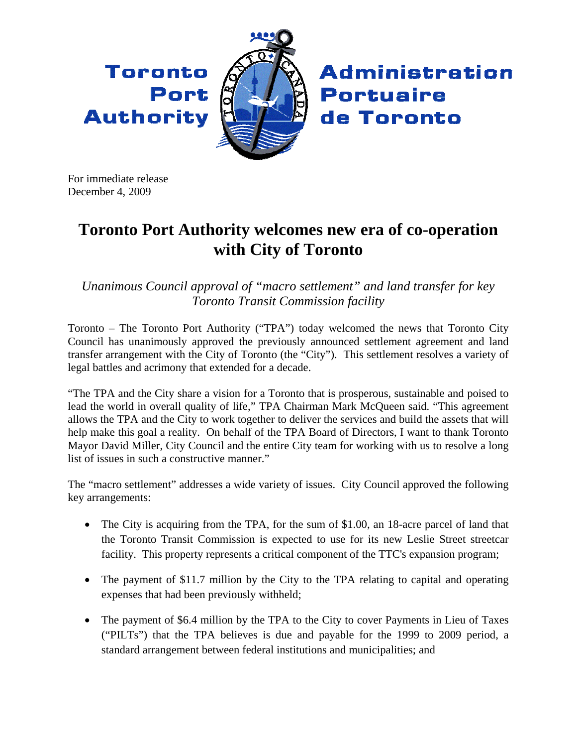Toronto Port **Authority** 



**Administration Portuaire** de Toronto

For immediate release December 4, 2009

## **Toronto Port Authority welcomes new era of co-operation with City of Toronto**

*Unanimous Council approval of "macro settlement" and land transfer for key Toronto Transit Commission facility* 

Toronto – The Toronto Port Authority ("TPA") today welcomed the news that Toronto City Council has unanimously approved the previously announced settlement agreement and land transfer arrangement with the City of Toronto (the "City"). This settlement resolves a variety of legal battles and acrimony that extended for a decade.

"The TPA and the City share a vision for a Toronto that is prosperous, sustainable and poised to lead the world in overall quality of life," TPA Chairman Mark McQueen said. "This agreement allows the TPA and the City to work together to deliver the services and build the assets that will help make this goal a reality. On behalf of the TPA Board of Directors, I want to thank Toronto Mayor David Miller, City Council and the entire City team for working with us to resolve a long list of issues in such a constructive manner."

The "macro settlement" addresses a wide variety of issues. City Council approved the following key arrangements:

- The City is acquiring from the TPA, for the sum of \$1.00, an 18-acre parcel of land that the Toronto Transit Commission is expected to use for its new Leslie Street streetcar facility. This property represents a critical component of the TTC's expansion program;
- The payment of \$11.7 million by the City to the TPA relating to capital and operating expenses that had been previously withheld;
- The payment of \$6.4 million by the TPA to the City to cover Payments in Lieu of Taxes ("PILTs") that the TPA believes is due and payable for the 1999 to 2009 period, a standard arrangement between federal institutions and municipalities; and